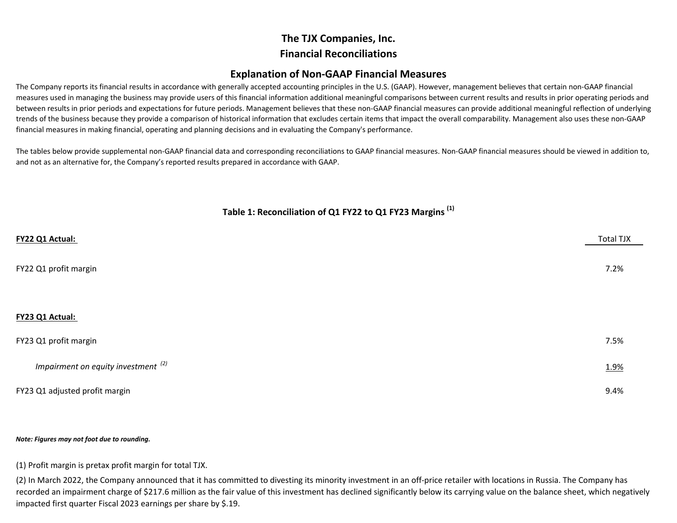# **The TJX Companies, Inc. Financial Reconciliations**

# **Explanation of Non‐GAAP Financial Measures**

The Company reports its financial results in accordance with generally accepted accounting principles in the U.S. (GAAP). However, management believes that certain non‐GAAP financial measures used in managing the business may provide users of this financial information additional meaningful comparisons between current results and results in prior operating periods and between results in prior periods and expectations for future periods. Management believes that these non‐GAAP financial measures can provide additional meaningful reflection of underlying trends of the business because they provide <sup>a</sup> comparison of historical information that excludes certain items that impact the overall comparability. Management also uses these non‐GAAP financial measures in making financial, operating and planning decisions and in evaluating the Company's performance.

The tables below provide supplemental non‐GAAP financial data and corresponding reconciliations to GAAP financial measures. Non‐GAAP financial measures should be viewed in addition to, and not as an alternative for, the Company's reported results prepared in accordance with GAAP.

# **Table 1: Reconciliation of Q1 FY22 to Q1 FY23 Margins (1)**

| FY22 Q1 Actual:                       | <b>Total TJX</b> |
|---------------------------------------|------------------|
| FY22 Q1 profit margin                 | 7.2%             |
| FY23 Q1 Actual:                       |                  |
| FY23 Q1 profit margin                 | 7.5%             |
| Impairment on equity investment $(2)$ | 1.9%             |
| FY23 Q1 adjusted profit margin        | 9.4%             |

#### *Note: Figures may not foot due to rounding.*

(1) Profit margin is pretax profit margin for total TJX.

(2) In March 2022, the Company announced that it has committed to divesting its minority investment in an off‐price retailer with locations in Russia. The Company has recorded an impairment charge of \$217.6 million as the fair value of this investment has declined significantly below its carrying value on the balance sheet, which negatively impacted first quarter Fiscal <sup>2023</sup> earnings per share by \$.19.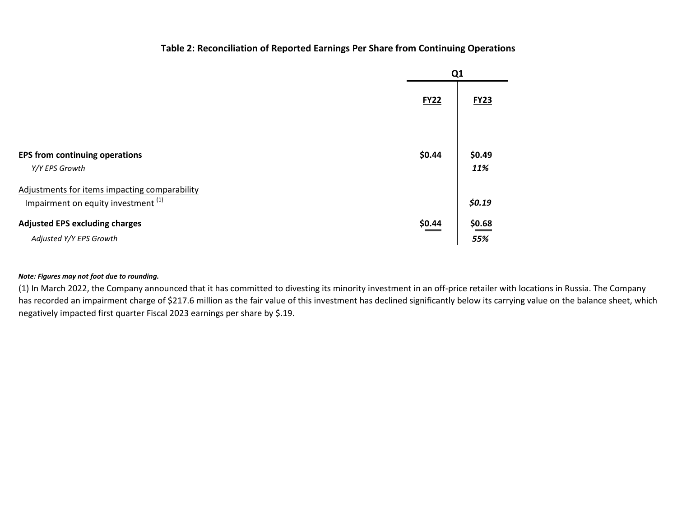## **Table 2: Reconciliation of Reported Earnings Per Share from Continuing Operations**

|                                                                                      | Q <sub>1</sub> |               |
|--------------------------------------------------------------------------------------|----------------|---------------|
|                                                                                      | <b>FY22</b>    | <b>FY23</b>   |
| <b>EPS from continuing operations</b><br>Y/Y EPS Growth                              | \$0.44         | \$0.49<br>11% |
| Adjustments for items impacting comparability<br>Impairment on equity investment (1) |                | \$0.19        |
| <b>Adjusted EPS excluding charges</b><br>Adjusted Y/Y EPS Growth                     | \$0.44         | \$0.68<br>55% |

#### *Note: Figures may not foot due to rounding.*

(1) In March 2022, the Company announced that it has committed to divesting its minority investment in an off‐price retailer with locations in Russia. The Company has recorded an impairment charge of \$217.6 million as the fair value of this investment has declined significantly below its carrying value on the balance sheet, which negatively impacted first quarter Fiscal <sup>2023</sup> earnings per share by \$.19.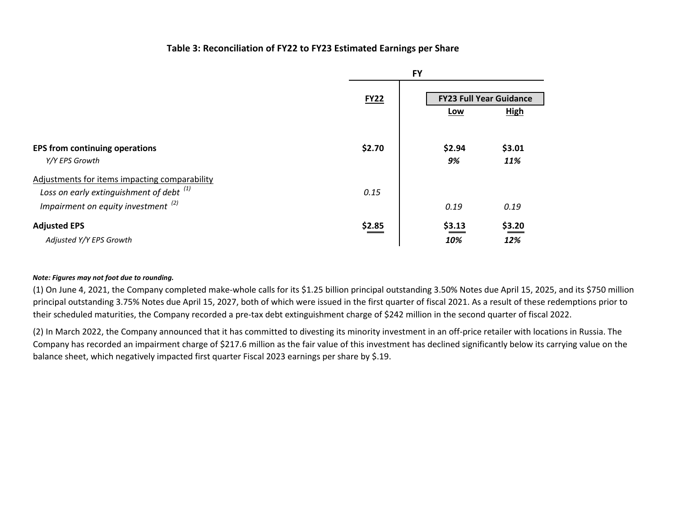### **Table 3: Reconciliation of FY22 to FY23 Estimated Earnings per Share**

|                                                                                                                                      |             | <b>FY</b>     |                                               |
|--------------------------------------------------------------------------------------------------------------------------------------|-------------|---------------|-----------------------------------------------|
|                                                                                                                                      | <b>FY22</b> | Low           | <b>FY23 Full Year Guidance</b><br><b>High</b> |
| <b>EPS from continuing operations</b><br>Y/Y EPS Growth                                                                              | \$2.70      | \$2.94<br>9%  | \$3.01<br>11%                                 |
| Adjustments for items impacting comparability<br>Loss on early extinguishment of debt $(1)$<br>Impairment on equity investment $(2)$ | 0.15        | 0.19          | 0.19                                          |
| <b>Adjusted EPS</b><br>Adjusted Y/Y EPS Growth                                                                                       | \$2.85      | \$3.13<br>10% | \$3.20<br>12%                                 |

#### *Note: Figures may not foot due to rounding.*

(1) On June 4, 2021, the Company completed make‐whole calls for its \$1.25 billion principal outstanding 3.50% Notes due April 15, 2025, and its \$750 million principal outstanding 3.75% Notes due April 15, 2027, both of which were issued in the first quarter of fiscal 2021. As <sup>a</sup> result of these redemptions prior to their scheduled maturities, the Company recorded <sup>a</sup> pre‐tax debt extinguishment charge of \$242 million in the second quarter of fiscal 2022.

(2) In March 2022, the Company announced that it has committed to divesting its minority investment in an off‐price retailer with locations in Russia. The Company has recorded an impairment charge of \$217.6 million as the fair value of this investment has declined significantly below its carrying value on the balance sheet, which negatively impacted first quarter Fiscal <sup>2023</sup> earnings per share by \$.19.